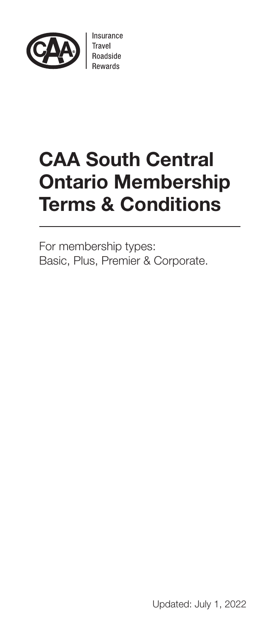

Insurance Travel<br>Roadside

# CAA South Central Ontario Membership Terms & Conditions

For membership types: Basic, Plus, Premier & Corporate.

Updated: July 1, 2022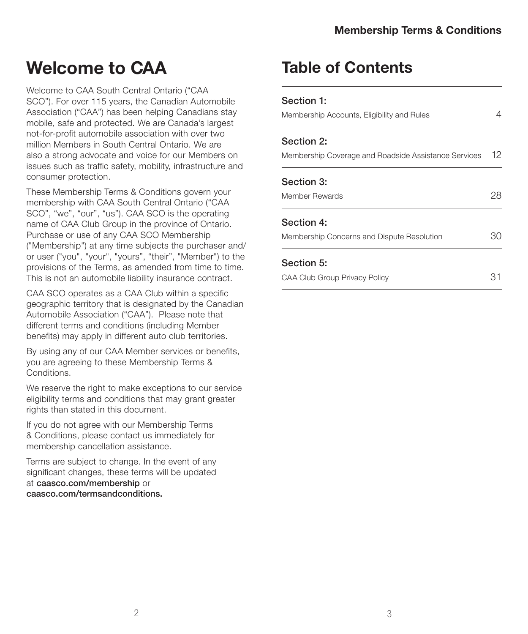# Welcome to CAA

Welcome to CAA South Central Ontario ("CAA SCO"). For over 115 years, the Canadian Automobile Association ("CAA") has been helping Canadians stay mobile, safe and protected. We are Canada's largest not-for-profit automobile association with over two million Members in South Central Ontario. We are also a strong advocate and voice for our Members on issues such as traffic safety, mobility, infrastructure and consumer protection.

These Membership Terms & Conditions govern your membership with CAA South Central Ontario ("CAA SCO", "we", "our", "us"). CAA SCO is the operating name of CAA Club Group in the province of Ontario. Purchase or use of any CAA SCO Membership ("Membership") at any time subjects the purchaser and/ or user ("you", "your", "yours", "their", "Member") to the provisions of the Terms, as amended from time to time. This is not an automobile liability insurance contract.

CAA SCO operates as a CAA Club within a specific geographic territory that is designated by the Canadian Automobile Association ("CAA"). Please note that different terms and conditions (including Member benefits) may apply in different auto club territories.

By using any of our CAA Member services or benefits, you are agreeing to these Membership Terms & **Conditions** 

We reserve the right to make exceptions to our service eligibility terms and conditions that may grant greater rights than stated in this document.

If you do not agree with our Membership Terms & Conditions, please contact us immediately for membership cancellation assistance.

Terms are subject to change. In the event of any significant changes, these terms will be updated at caasco.com/membership or caasco.com/termsandconditions.

## Table of Contents

| Section 1:                                           |    |
|------------------------------------------------------|----|
| Membership Accounts, Eligibility and Rules           |    |
| Section 2:                                           |    |
| Membership Coverage and Roadside Assistance Services | 12 |
| Section 3:                                           |    |
| Member Rewards                                       | אל |
| Section 4:                                           |    |
| Membership Concerns and Dispute Resolution           |    |
| Section 5:                                           |    |
| <b>CAA Club Group Privacy Policy</b>                 |    |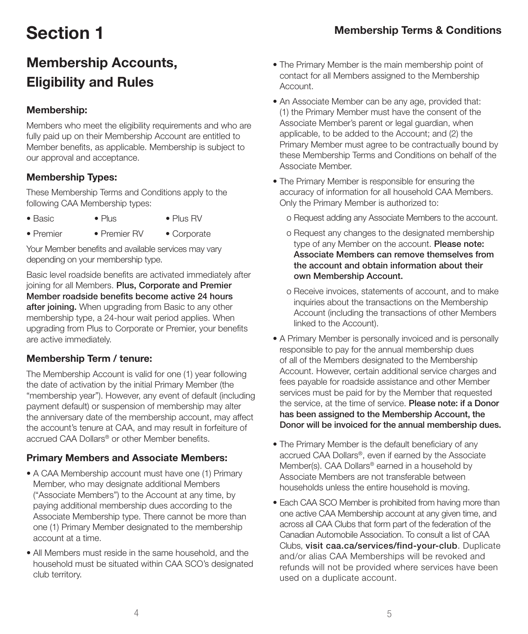# Section 1

## Membership Accounts, Eligibility and Rules

#### Membership:

Members who meet the eligibility requirements and who are fully paid up on their Membership Account are entitled to Member benefits, as applicable. Membership is subject to our approval and acceptance.

#### Membership Types:

These Membership Terms and Conditions apply to the following CAA Membership types:

- Basic Plus Plus RV
- Premier Premier RV Corporate

Your Member benefits and available services may vary depending on your membership type.

Basic level roadside benefits are activated immediately after joining for all Members. Plus, Corporate and Premier Member roadside benefits become active 24 hours after joining. When upgrading from Basic to any other membership type, a 24-hour wait period applies. When upgrading from Plus to Corporate or Premier, your benefits are active immediately.

#### Membership Term / tenure:

The Membership Account is valid for one (1) year following the date of activation by the initial Primary Member (the "membership year"). However, any event of default (including payment default) or suspension of membership may alter the anniversary date of the membership account, may affect the account's tenure at CAA, and may result in forfeiture of accrued CAA Dollars® or other Member benefits.

### Primary Members and Associate Members:

- A CAA Membership account must have one (1) Primary Member, who may designate additional Members ("Associate Members") to the Account at any time, by paying additional membership dues according to the Associate Membership type. There cannot be more than one (1) Primary Member designated to the membership account at a time.
- All Members must reside in the same household, and the household must be situated within CAA SCO's designated club territory.
- The Primary Member is the main membership point of contact for all Members assigned to the Membership Account.
- An Associate Member can be any age, provided that: (1) the Primary Member must have the consent of the Associate Member's parent or legal guardian, when applicable, to be added to the Account; and (2) the Primary Member must agree to be contractually bound by these Membership Terms and Conditions on behalf of the Associate Member.
- The Primary Member is responsible for ensuring the accuracy of information for all household CAA Members. Only the Primary Member is authorized to:
	- o Request adding any Associate Members to the account.
	- o Request any changes to the designated membership type of any Member on the account. Please note: Associate Members can remove themselves from the account and obtain information about their own Membership Account.
	- o Receive invoices, statements of account, and to make inquiries about the transactions on the Membership Account (including the transactions of other Members linked to the Account).
- A Primary Member is personally invoiced and is personally responsible to pay for the annual membership dues of all of the Members designated to the Membership Account. However, certain additional service charges and fees payable for roadside assistance and other Member services must be paid for by the Member that requested the service, at the time of service. Please note: if a Donor has been assigned to the Membership Account, the Donor will be invoiced for the annual membership dues.
- The Primary Member is the default beneficiary of any accrued CAA Dollars®, even if earned by the Associate Member(s). CAA Dollars® earned in a household by Associate Members are not transferable between households unless the entire household is moving.
- Each CAA SCO Member is prohibited from having more than one active CAA Membership account at any given time, and across all CAA Clubs that form part of the federation of the Canadian Automobile Association. To consult a list of CAA Clubs, visit caa.ca/services/find-your-club. Duplicate and/or alias CAA Memberships will be revoked and refunds will not be provided where services have been used on a duplicate account.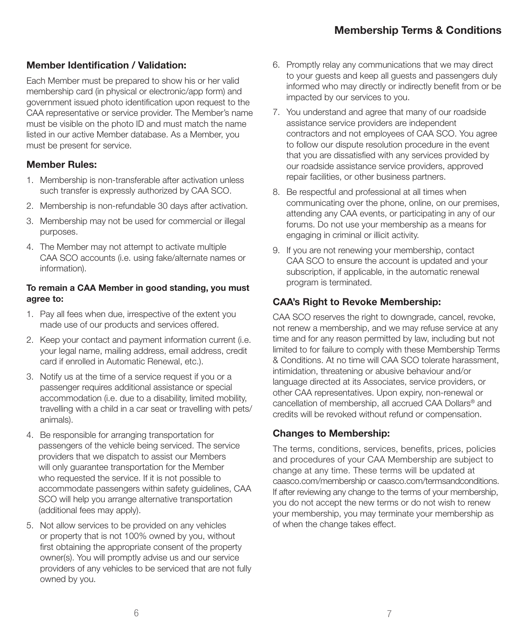#### Member Identification / Validation:

Each Member must be prepared to show his or her valid membership card (in physical or electronic/app form) and government issued photo identification upon request to the CAA representative or service provider. The Member's name must be visible on the photo ID and must match the name listed in our active Member database. As a Member, you must be present for service.

#### Member Rules:

- 1. Membership is non-transferable after activation unless such transfer is expressly authorized by CAA SCO.
- 2. Membership is non-refundable 30 days after activation.
- 3. Membership may not be used for commercial or illegal purposes.
- 4. The Member may not attempt to activate multiple CAA SCO accounts (i.e. using fake/alternate names or information).

#### To remain a CAA Member in good standing, you must agree to:

- 1. Pay all fees when due, irrespective of the extent you made use of our products and services offered.
- 2. Keep your contact and payment information current (i.e. your legal name, mailing address, email address, credit card if enrolled in Automatic Renewal, etc.).
- 3. Notify us at the time of a service request if you or a passenger requires additional assistance or special accommodation (i.e. due to a disability, limited mobility, travelling with a child in a car seat or travelling with pets/ animals).
- 4. Be responsible for arranging transportation for passengers of the vehicle being serviced. The service providers that we dispatch to assist our Members will only guarantee transportation for the Member who requested the service. If it is not possible to accommodate passengers within safety guidelines, CAA SCO will help you arrange alternative transportation (additional fees may apply).
- 5. Not allow services to be provided on any vehicles or property that is not 100% owned by you, without first obtaining the appropriate consent of the property owner(s). You will promptly advise us and our service providers of any vehicles to be serviced that are not fully owned by you.
- 6. Promptly relay any communications that we may direct to your guests and keep all guests and passengers duly informed who may directly or indirectly benefit from or be impacted by our services to you.
- 7. You understand and agree that many of our roadside assistance service providers are independent contractors and not employees of CAA SCO. You agree to follow our dispute resolution procedure in the event that you are dissatisfied with any services provided by our roadside assistance service providers, approved repair facilities, or other business partners.
- 8. Be respectful and professional at all times when communicating over the phone, online, on our premises, attending any CAA events, or participating in any of our forums. Do not use your membership as a means for engaging in criminal or illicit activity.
- 9. If you are not renewing your membership, contact CAA SCO to ensure the account is updated and your subscription, if applicable, in the automatic renewal program is terminated.

#### CAA's Right to Revoke Membership:

CAA SCO reserves the right to downgrade, cancel, revoke, not renew a membership, and we may refuse service at any time and for any reason permitted by law, including but not limited to for failure to comply with these Membership Terms & Conditions. At no time will CAA SCO tolerate harassment, intimidation, threatening or abusive behaviour and/or language directed at its Associates, service providers, or other CAA representatives. Upon expiry, non-renewal or cancellation of membership, all accrued CAA Dollars® and credits will be revoked without refund or compensation.

#### Changes to Membership:

The terms, conditions, services, benefits, prices, policies and procedures of your CAA Membership are subject to change at any time. These terms will be updated at caasco.com/membership or caasco.com/termsandconditions. If after reviewing any change to the terms of your membership, you do not accept the new terms or do not wish to renew your membership, you may terminate your membership as of when the change takes effect.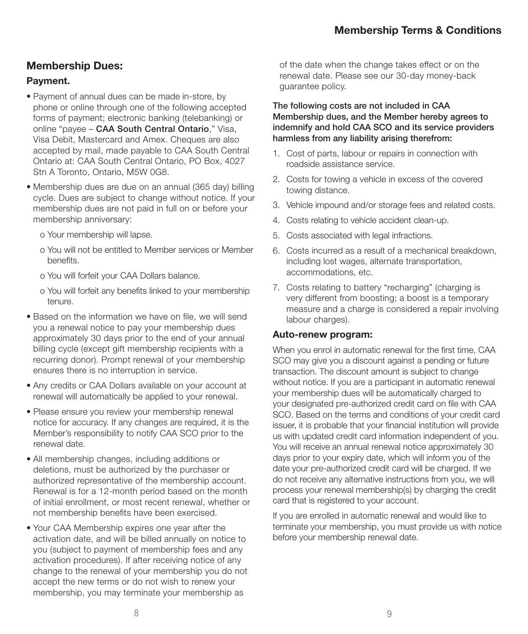#### Membership Dues:

#### Payment.

- Payment of annual dues can be made in-store, by phone or online through one of the following accepted forms of payment; electronic banking (telebanking) or online "payee - CAA South Central Ontario," Visa, Visa Debit, Mastercard and Amex. Cheques are also accepted by mail, made payable to CAA South Central Ontario at: CAA South Central Ontario, PO Box, 4027 Stn A Toronto, Ontario, M5W 0G8.
- Membership dues are due on an annual (365 day) billing cycle. Dues are subject to change without notice. If your membership dues are not paid in full on or before your membership anniversary:
	- o Your membership will lapse.
	- o You will not be entitled to Member services or Member benefits.
	- o You will forfeit your CAA Dollars balance.
	- o You will forfeit any benefits linked to your membership tenure.
- Based on the information we have on file, we will send you a renewal notice to pay your membership dues approximately 30 days prior to the end of your annual billing cycle (except gift membership recipients with a recurring donor). Prompt renewal of your membership ensures there is no interruption in service.
- Any credits or CAA Dollars available on your account at renewal will automatically be applied to your renewal.
- Please ensure you review your membership renewal notice for accuracy. If any changes are required, it is the Member's responsibility to notify CAA SCO prior to the renewal date.
- All membership changes, including additions or deletions, must be authorized by the purchaser or authorized representative of the membership account. Renewal is for a 12-month period based on the month of initial enrollment, or most recent renewal, whether or not membership benefits have been exercised.
- Your CAA Membership expires one year after the activation date, and will be billed annually on notice to you (subject to payment of membership fees and any activation procedures). If after receiving notice of any change to the renewal of your membership you do not accept the new terms or do not wish to renew your membership, you may terminate your membership as

of the date when the change takes effect or on the renewal date. Please see our 30-day money-back guarantee policy.

#### The following costs are not included in CAA Membership dues, and the Member hereby agrees to indemnify and hold CAA SCO and its service providers harmless from any liability arising therefrom:

- 1. Cost of parts, labour or repairs in connection with roadside assistance service.
- 2. Costs for towing a vehicle in excess of the covered towing distance.
- 3. Vehicle impound and/or storage fees and related costs.
- 4. Costs relating to vehicle accident clean-up.
- 5. Costs associated with legal infractions.
- 6. Costs incurred as a result of a mechanical breakdown, including lost wages, alternate transportation, accommodations, etc.
- 7. Costs relating to battery "recharging" (charging is very different from boosting; a boost is a temporary measure and a charge is considered a repair involving labour charges).

#### Auto-renew program:

When you enrol in automatic renewal for the first time, CAA SCO may give you a discount against a pending or future transaction. The discount amount is subject to change without notice. If you are a participant in automatic renewal your membership dues will be automatically charged to your designated pre-authorized credit card on file with CAA SCO. Based on the terms and conditions of your credit card issuer, it is probable that your financial institution will provide us with updated credit card information independent of you. You will receive an annual renewal notice approximately 30 days prior to your expiry date, which will inform you of the date your pre-authorized credit card will be charged. If we do not receive any alternative instructions from you, we will process your renewal membership(s) by charging the credit card that is registered to your account.

If you are enrolled in automatic renewal and would like to terminate your membership, you must provide us with notice before your membership renewal date.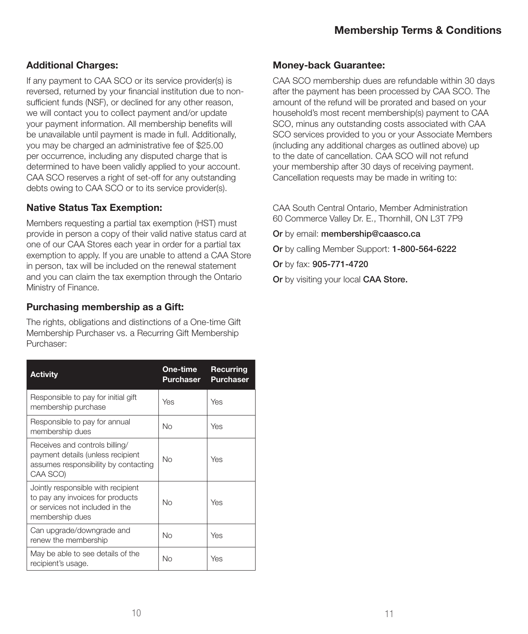#### Additional Charges:

If any payment to CAA SCO or its service provider(s) is reversed, returned by your financial institution due to nonsufficient funds (NSF), or declined for any other reason, we will contact you to collect payment and/or update your payment information. All membership benefits will be unavailable until payment is made in full. Additionally, you may be charged an administrative fee of \$25.00 per occurrence, including any disputed charge that is determined to have been validly applied to your account. CAA SCO reserves a right of set-off for any outstanding debts owing to CAA SCO or to its service provider(s).

#### Native Status Tax Exemption:

Members requesting a partial tax exemption (HST) must provide in person a copy of their valid native status card at one of our CAA Stores each year in order for a partial tax exemption to apply. If you are unable to attend a CAA Store in person, tax will be included on the renewal statement and you can claim the tax exemption through the Ontario Ministry of Finance.

#### Purchasing membership as a Gift:

The rights, obligations and distinctions of a One-time Gift Membership Purchaser vs. a Recurring Gift Membership Purchaser:

| <b>Activity</b>                                                                                                              | One-time<br><b>Purchaser</b> | Recurring<br><b>Purchaser</b> |
|------------------------------------------------------------------------------------------------------------------------------|------------------------------|-------------------------------|
| Responsible to pay for initial gift<br>membership purchase                                                                   | Yes                          | Yes                           |
| Responsible to pay for annual<br>membership dues                                                                             | No                           | Yes                           |
| Receives and controls billing/<br>payment details (unless recipient<br>assumes responsibility by contacting<br>CAA SCO)      | <b>No</b>                    | Yes                           |
| Jointly responsible with recipient<br>to pay any invoices for products<br>or services not included in the<br>membership dues | No                           | Yes                           |
| Can upgrade/downgrade and<br>renew the membership                                                                            | No                           | Yes                           |
| May be able to see details of the<br>recipient's usage.                                                                      | No                           | Yes                           |

#### Money-back Guarantee:

CAA SCO membership dues are refundable within 30 days after the payment has been processed by CAA SCO. The amount of the refund will be prorated and based on your household's most recent membership(s) payment to CAA SCO, minus any outstanding costs associated with CAA SCO services provided to you or your Associate Members (including any additional charges as outlined above) up to the date of cancellation. CAA SCO will not refund your membership after 30 days of receiving payment. Cancellation requests may be made in writing to:

CAA South Central Ontario, Member Administration 60 Commerce Valley Dr. E., Thornhill, ON L3T 7P9

Or by email: membership@caasco.ca

Or by calling Member Support: 1-800-564-6222

Or by fax: 905-771-4720

Or by visiting your local CAA Store.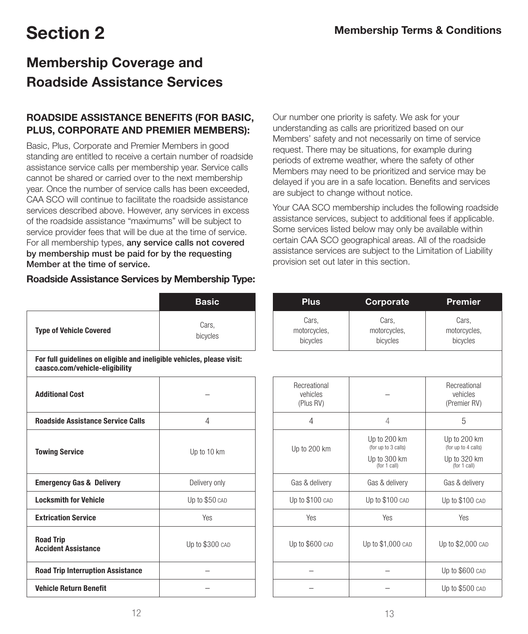### Membership Coverage and Roadside Assistance Services

#### ROADSIDE ASSISTANCE BENEFITS (FOR BASIC, PLUS, CORPORATE AND PREMIER MEMBERS):

Basic, Plus, Corporate and Premier Members in good standing are entitled to receive a certain number of roadside assistance service calls per membership year. Service calls cannot be shared or carried over to the next membership year. Once the number of service calls has been exceeded, CAA SCO will continue to facilitate the roadside assistance services described above. However, any services in excess of the roadside assistance "maximums" will be subject to service provider fees that will be due at the time of service. For all membership types, any service calls not covered by membership must be paid for by the requesting Member at the time of service.

#### Roadside Assistance Services by Membership Type:

|                                                                                                          | <b>Basic</b>      | <b>Plus</b>                           | Corporate                                                           | <b>Premier</b>                                                      |
|----------------------------------------------------------------------------------------------------------|-------------------|---------------------------------------|---------------------------------------------------------------------|---------------------------------------------------------------------|
| <b>Type of Vehicle Covered</b>                                                                           | Cars,<br>bicycles | Cars,<br>motorcycles,<br>bicycles     | Cars,<br>motorcycles,<br>bicycles                                   | Cars,<br>motorcycles,<br>bicycles                                   |
| For full guidelines on eligible and ineligible vehicles, please visit:<br>caasco.com/vehicle-eligibility |                   |                                       |                                                                     |                                                                     |
| <b>Additional Cost</b>                                                                                   |                   | Recreational<br>vehicles<br>(Plus RV) |                                                                     | Recreational<br>vehicles<br>(Premier RV)                            |
| <b>Roadside Assistance Service Calls</b>                                                                 | 4                 | 4                                     | 4                                                                   | 5                                                                   |
| <b>Towing Service</b>                                                                                    | Up to 10 km       | Up to 200 km                          | Up to 200 km<br>(for up to 3 calls)<br>Up to 300 km<br>(for 1 call) | Up to 200 km<br>(for up to 4 calls)<br>Up to 320 km<br>(for 1 call) |
| <b>Emergency Gas &amp; Delivery</b>                                                                      | Delivery only     | Gas & delivery                        | Gas & delivery                                                      | Gas & delivery                                                      |
| <b>Locksmith for Vehicle</b>                                                                             | Up to \$50 CAD    | Up to \$100 CAD                       | Up to \$100 CAD                                                     | Up to \$100 CAD                                                     |
| <b>Extrication Service</b>                                                                               | Yes               | Yes                                   | Yes                                                                 | Yes                                                                 |
| <b>Road Trip</b><br><b>Accident Assistance</b>                                                           | Up to \$300 CAD   | Up to \$600 CAD                       | Up to \$1,000 CAD                                                   | Up to \$2,000 CAD                                                   |
| <b>Road Trip Interruption Assistance</b>                                                                 |                   |                                       |                                                                     | Up to \$600 CAD                                                     |
| <b>Vehicle Return Benefit</b>                                                                            |                   |                                       |                                                                     | Up to \$500 CAD                                                     |

Our number one priority is safety. We ask for your understanding as calls are prioritized based on our Members' safety and not necessarily on time of service request. There may be situations, for example during periods of extreme weather, where the safety of other Members may need to be prioritized and service may be delayed if you are in a safe location. Benefits and services are subject to change without notice.

Your CAA SCO membership includes the following roadside assistance services, subject to additional fees if applicable. Some services listed below may only be available within certain CAA SCO geographical areas. All of the roadside assistance services are subject to the Limitation of Liability provision set out later in this section.

| Basic             | <b>Plus</b>                           | Corporate                                                           | <b>Premier</b>                                                      |
|-------------------|---------------------------------------|---------------------------------------------------------------------|---------------------------------------------------------------------|
| Cars,<br>bicycles | Cars,<br>motorcycles,<br>bicycles     | Cars,<br>motorcycles,<br>bicycles                                   | Cars,<br>motorcycles,<br>bicycles                                   |
| s, please visit:  |                                       |                                                                     |                                                                     |
|                   | Recreational<br>vehicles<br>(Plus RV) |                                                                     | Recreational<br>vehicles<br>(Premier RV)                            |
| 4                 | 4                                     | 4                                                                   | 5                                                                   |
| $0$ to 10 km      | Up to 200 km                          | Up to 200 km<br>(for up to 3 calls)<br>Up to 300 km<br>(for 1 call) | Up to 200 km<br>(for up to 4 calls)<br>Up to 320 km<br>(for 1 call) |
| elivery only      | Gas & delivery                        | Gas & delivery                                                      | Gas & delivery                                                      |
| to \$50 CAD       | Up to \$100 CAD                       | Up to \$100 CAD                                                     | Up to \$100 CAD                                                     |
| Yes               | Yes                                   | Yes                                                                 | Yes                                                                 |
| to \$300 CAD      | Up to \$600 CAD                       | Up to \$1,000 CAD                                                   | Up to \$2,000 CAD                                                   |
|                   |                                       |                                                                     | Up to \$600 CAD                                                     |
|                   |                                       |                                                                     | Up to \$500 CAD                                                     |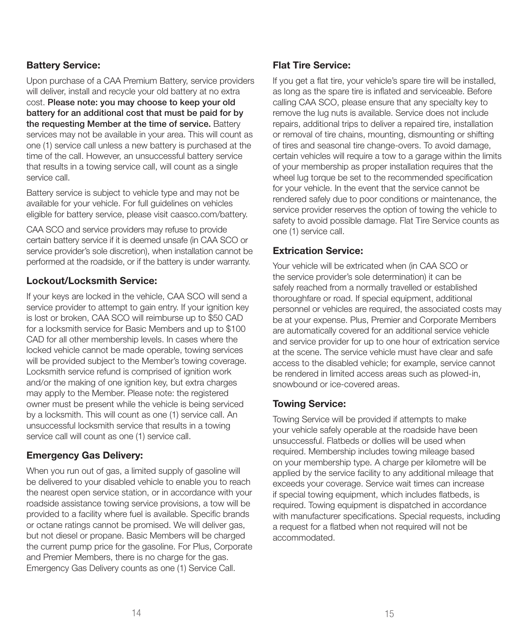#### Battery Service:

Upon purchase of a CAA Premium Battery, service providers will deliver, install and recycle your old battery at no extra cost. Please note: you may choose to keep your old battery for an additional cost that must be paid for by the requesting Member at the time of service. Battery services may not be available in your area. This will count as one (1) service call unless a new battery is purchased at the time of the call. However, an unsuccessful battery service that results in a towing service call, will count as a single service call.

Battery service is subject to vehicle type and may not be available for your vehicle. For full guidelines on vehicles eligible for battery service, please visit caasco.com/battery.

CAA SCO and service providers may refuse to provide certain battery service if it is deemed unsafe (in CAA SCO or service provider's sole discretion), when installation cannot be performed at the roadside, or if the battery is under warranty.

#### Lockout/Locksmith Service:

If your keys are locked in the vehicle, CAA SCO will send a service provider to attempt to gain entry. If your ignition key is lost or broken, CAA SCO will reimburse up to \$50 CAD for a locksmith service for Basic Members and up to \$100 CAD for all other membership levels. In cases where the locked vehicle cannot be made operable, towing services will be provided subject to the Member's towing coverage. Locksmith service refund is comprised of ignition work and/or the making of one ignition key, but extra charges may apply to the Member. Please note: the registered owner must be present while the vehicle is being serviced by a locksmith. This will count as one (1) service call. An unsuccessful locksmith service that results in a towing service call will count as one (1) service call.

#### Emergency Gas Delivery:

When you run out of gas, a limited supply of gasoline will be delivered to your disabled vehicle to enable you to reach the nearest open service station, or in accordance with your roadside assistance towing service provisions, a tow will be provided to a facility where fuel is available. Specific brands or octane ratings cannot be promised. We will deliver gas, but not diesel or propane. Basic Members will be charged the current pump price for the gasoline. For Plus, Corporate and Premier Members, there is no charge for the gas. Emergency Gas Delivery counts as one (1) Service Call.

#### Flat Tire Service:

If you get a flat tire, your vehicle's spare tire will be installed, as long as the spare tire is inflated and serviceable. Before calling CAA SCO, please ensure that any specialty key to remove the lug nuts is available. Service does not include repairs, additional trips to deliver a repaired tire, installation or removal of tire chains, mounting, dismounting or shifting of tires and seasonal tire change-overs. To avoid damage, certain vehicles will require a tow to a garage within the limits of your membership as proper installation requires that the wheel lug torque be set to the recommended specification for your vehicle. In the event that the service cannot be rendered safely due to poor conditions or maintenance, the service provider reserves the option of towing the vehicle to safety to avoid possible damage. Flat Tire Service counts as one (1) service call.

#### Extrication Service:

Your vehicle will be extricated when (in CAA SCO or the service provider's sole determination) it can be safely reached from a normally travelled or established thoroughfare or road. If special equipment, additional personnel or vehicles are required, the associated costs may be at your expense. Plus, Premier and Corporate Members are automatically covered for an additional service vehicle and service provider for up to one hour of extrication service at the scene. The service vehicle must have clear and safe access to the disabled vehicle; for example, service cannot be rendered in limited access areas such as plowed-in, snowbound or ice-covered areas.

#### Towing Service:

Towing Service will be provided if attempts to make your vehicle safely operable at the roadside have been unsuccessful. Flatbeds or dollies will be used when required. Membership includes towing mileage based on your membership type. A charge per kilometre will be applied by the service facility to any additional mileage that exceeds your coverage. Service wait times can increase if special towing equipment, which includes flatbeds, is required. Towing equipment is dispatched in accordance with manufacturer specifications. Special requests, including a request for a flatbed when not required will not be accommodated.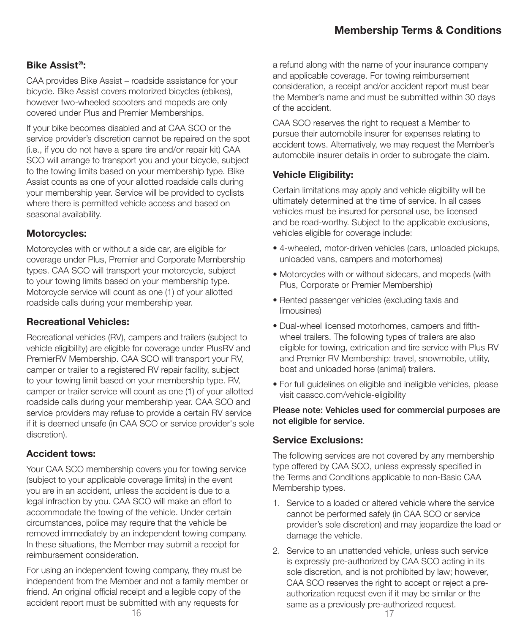### Membership Terms & Conditions

#### Bike Assist®:

CAA provides Bike Assist – roadside assistance for your bicycle. Bike Assist covers motorized bicycles (ebikes), however two-wheeled scooters and mopeds are only covered under Plus and Premier Memberships.

If your bike becomes disabled and at CAA SCO or the service provider's discretion cannot be repaired on the spot (i.e., if you do not have a spare tire and/or repair kit) CAA SCO will arrange to transport you and your bicycle, subject to the towing limits based on your membership type. Bike Assist counts as one of your allotted roadside calls during your membership year. Service will be provided to cyclists where there is permitted vehicle access and based on seasonal availability.

#### Motorcycles:

Motorcycles with or without a side car, are eligible for coverage under Plus, Premier and Corporate Membership types. CAA SCO will transport your motorcycle, subject to your towing limits based on your membership type. Motorcycle service will count as one (1) of your allotted roadside calls during your membership year.

#### Recreational Vehicles:

Recreational vehicles (RV), campers and trailers (subject to vehicle eligibility) are eligible for coverage under PlusRV and PremierRV Membership. CAA SCO will transport your RV, camper or trailer to a registered RV repair facility, subject to your towing limit based on your membership type. RV, camper or trailer service will count as one (1) of your allotted roadside calls during your membership year. CAA SCO and service providers may refuse to provide a certain RV service if it is deemed unsafe (in CAA SCO or service provider's sole discretion).

#### Accident tows:

Your CAA SCO membership covers you for towing service (subject to your applicable coverage limits) in the event you are in an accident, unless the accident is due to a legal infraction by you. CAA SCO will make an effort to accommodate the towing of the vehicle. Under certain circumstances, police may require that the vehicle be removed immediately by an independent towing company. In these situations, the Member may submit a receipt for reimbursement consideration.

For using an independent towing company, they must be independent from the Member and not a family member or friend. An original official receipt and a legible copy of the accident report must be submitted with any requests for

a refund along with the name of your insurance company and applicable coverage. For towing reimbursement consideration, a receipt and/or accident report must bear the Member's name and must be submitted within 30 days of the accident.

CAA SCO reserves the right to request a Member to pursue their automobile insurer for expenses relating to accident tows. Alternatively, we may request the Member's automobile insurer details in order to subrogate the claim.

#### Vehicle Eligibility:

Certain limitations may apply and vehicle eligibility will be ultimately determined at the time of service. In all cases vehicles must be insured for personal use, be licensed and be road-worthy. Subject to the applicable exclusions, vehicles eligible for coverage include:

- 4-wheeled, motor-driven vehicles (cars, unloaded pickups, unloaded vans, campers and motorhomes)
- Motorcycles with or without sidecars, and mopeds (with Plus, Corporate or Premier Membership)
- Rented passenger vehicles (excluding taxis and limousines)
- Dual-wheel licensed motorhomes, campers and fifthwheel trailers. The following types of trailers are also eligible for towing, extrication and tire service with Plus RV and Premier RV Membership: travel, snowmobile, utility, boat and unloaded horse (animal) trailers.
- For full guidelines on eligible and ineligible vehicles, please visit caasco.com/vehicle-eligibility

#### Please note: Vehicles used for commercial purposes are not eligible for service.

#### Service Exclusions:

The following services are not covered by any membership type offered by CAA SCO, unless expressly specified in the Terms and Conditions applicable to non-Basic CAA Membership types.

- 1. Service to a loaded or altered vehicle where the service cannot be performed safely (in CAA SCO or service provider's sole discretion) and may jeopardize the load or damage the vehicle.
- 2. Service to an unattended vehicle, unless such service is expressly pre-authorized by CAA SCO acting in its sole discretion, and is not prohibited by law; however, CAA SCO reserves the right to accept or reject a preauthorization request even if it may be similar or the same as a previously pre-authorized request.<br> $17$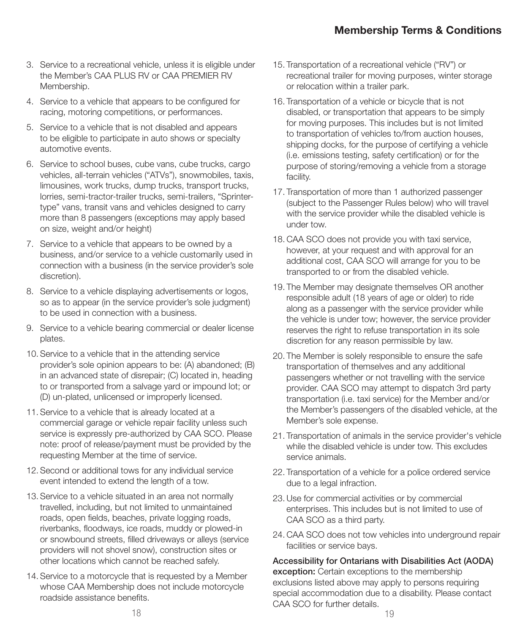- 3. Service to a recreational vehicle, unless it is eligible under the Member's CAA PLUS RV or CAA PREMIER RV Membership.
- 4. Service to a vehicle that appears to be configured for racing, motoring competitions, or performances.
- 5. Service to a vehicle that is not disabled and appears to be eligible to participate in auto shows or specialty automotive events.
- 6. Service to school buses, cube vans, cube trucks, cargo vehicles, all-terrain vehicles ("ATVs"), snowmobiles, taxis, limousines, work trucks, dump trucks, transport trucks, lorries, semi-tractor-trailer trucks, semi-trailers, "Sprintertype" vans, transit vans and vehicles designed to carry more than 8 passengers (exceptions may apply based on size, weight and/or height)
- 7. Service to a vehicle that appears to be owned by a business, and/or service to a vehicle customarily used in connection with a business (in the service provider's sole discretion).
- 8. Service to a vehicle displaying advertisements or logos, so as to appear (in the service provider's sole judgment) to be used in connection with a business.
- 9. Service to a vehicle bearing commercial or dealer license plates.
- 10. Service to a vehicle that in the attending service provider's sole opinion appears to be: (A) abandoned; (B) in an advanced state of disrepair; (C) located in, heading to or transported from a salvage yard or impound lot; or (D) un-plated, unlicensed or improperly licensed.
- 11. Service to a vehicle that is already located at a commercial garage or vehicle repair facility unless such service is expressly pre-authorized by CAA SCO. Please note: proof of release/payment must be provided by the requesting Member at the time of service.
- 12. Second or additional tows for any individual service event intended to extend the length of a tow.
- 13. Service to a vehicle situated in an area not normally travelled, including, but not limited to unmaintained roads, open fields, beaches, private logging roads, riverbanks, floodways, ice roads, muddy or plowed-in or snowbound streets, filled driveways or alleys (service providers will not shovel snow), construction sites or other locations which cannot be reached safely.
- 14. Service to a motorcycle that is requested by a Member whose CAA Membership does not include motorcycle roadside assistance benefits.
- 15. Transportation of a recreational vehicle ("RV") or recreational trailer for moving purposes, winter storage or relocation within a trailer park.
- 16. Transportation of a vehicle or bicycle that is not disabled, or transportation that appears to be simply for moving purposes. This includes but is not limited to transportation of vehicles to/from auction houses, shipping docks, for the purpose of certifying a vehicle (i.e. emissions testing, safety certification) or for the purpose of storing/removing a vehicle from a storage facility.
- 17. Transportation of more than 1 authorized passenger (subject to the Passenger Rules below) who will travel with the service provider while the disabled vehicle is under tow.
- 18. CAA SCO does not provide you with taxi service, however, at your request and with approval for an additional cost, CAA SCO will arrange for you to be transported to or from the disabled vehicle.
- 19. The Member may designate themselves OR another responsible adult (18 years of age or older) to ride along as a passenger with the service provider while the vehicle is under tow; however, the service provider reserves the right to refuse transportation in its sole discretion for any reason permissible by law.
- 20. The Member is solely responsible to ensure the safe transportation of themselves and any additional passengers whether or not travelling with the service provider. CAA SCO may attempt to dispatch 3rd party transportation (i.e. taxi service) for the Member and/or the Member's passengers of the disabled vehicle, at the Member's sole expense.
- 21. Transportation of animals in the service provider's vehicle while the disabled vehicle is under tow. This excludes service animals.
- 22. Transportation of a vehicle for a police ordered service due to a legal infraction.
- 23. Use for commercial activities or by commercial enterprises. This includes but is not limited to use of CAA SCO as a third party.
- 24. CAA SCO does not tow vehicles into underground repair facilities or service bays.

Accessibility for Ontarians with Disabilities Act (AODA) exception: Certain exceptions to the membership exclusions listed above may apply to persons requiring special accommodation due to a disability. Please contact CAA SCO for further details.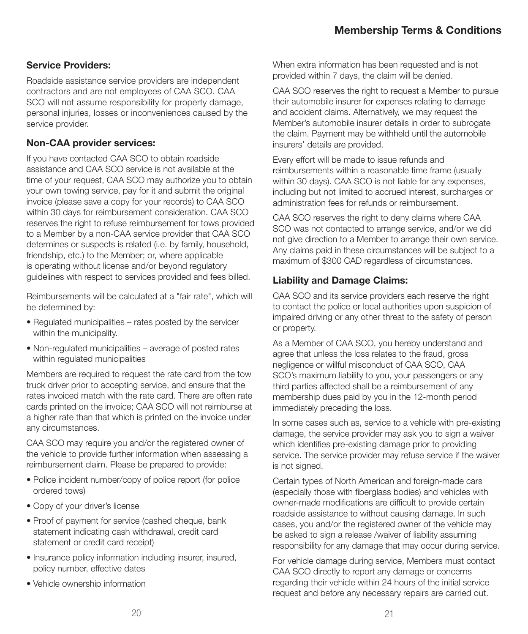#### Service Providers:

Roadside assistance service providers are independent contractors and are not employees of CAA SCO. CAA SCO will not assume responsibility for property damage, personal injuries, losses or inconveniences caused by the service provider.

#### Non-CAA provider services:

If you have contacted CAA SCO to obtain roadside assistance and CAA SCO service is not available at the time of your request, CAA SCO may authorize you to obtain your own towing service, pay for it and submit the original invoice (please save a copy for your records) to CAA SCO within 30 days for reimbursement consideration. CAA SCO reserves the right to refuse reimbursement for tows provided to a Member by a non-CAA service provider that CAA SCO determines or suspects is related (i.e. by family, household, friendship, etc.) to the Member; or, where applicable is operating without license and/or beyond regulatory guidelines with respect to services provided and fees billed.

Reimbursements will be calculated at a "fair rate", which will be determined by:

- Regulated municipalities rates posted by the servicer within the municipality.
- Non-regulated municipalities average of posted rates within regulated municipalities

Members are required to request the rate card from the tow truck driver prior to accepting service, and ensure that the rates invoiced match with the rate card. There are often rate cards printed on the invoice; CAA SCO will not reimburse at a higher rate than that which is printed on the invoice under any circumstances.

CAA SCO may require you and/or the registered owner of the vehicle to provide further information when assessing a reimbursement claim. Please be prepared to provide:

- Police incident number/copy of police report (for police ordered tows)
- Copy of your driver's license
- Proof of payment for service (cashed cheque, bank statement indicating cash withdrawal, credit card statement or credit card receipt)
- Insurance policy information including insurer, insured, policy number, effective dates
- Vehicle ownership information

When extra information has been requested and is not provided within 7 days, the claim will be denied.

CAA SCO reserves the right to request a Member to pursue their automobile insurer for expenses relating to damage and accident claims. Alternatively, we may request the Member's automobile insurer details in order to subrogate the claim. Payment may be withheld until the automobile insurers' details are provided.

Every effort will be made to issue refunds and reimbursements within a reasonable time frame (usually within 30 days). CAA SCO is not liable for any expenses, including but not limited to accrued interest, surcharges or administration fees for refunds or reimbursement.

CAA SCO reserves the right to deny claims where CAA SCO was not contacted to arrange service, and/or we did not give direction to a Member to arrange their own service. Any claims paid in these circumstances will be subject to a maximum of \$300 CAD regardless of circumstances.

#### Liability and Damage Claims:

CAA SCO and its service providers each reserve the right to contact the police or local authorities upon suspicion of impaired driving or any other threat to the safety of person or property.

As a Member of CAA SCO, you hereby understand and agree that unless the loss relates to the fraud, gross negligence or willful misconduct of CAA SCO, CAA SCO's maximum liability to you, your passengers or any third parties affected shall be a reimbursement of any membership dues paid by you in the 12-month period immediately preceding the loss.

In some cases such as, service to a vehicle with pre-existing damage, the service provider may ask you to sign a waiver which identifies pre-existing damage prior to providing service. The service provider may refuse service if the waiver is not signed.

Certain types of North American and foreign-made cars (especially those with fiberglass bodies) and vehicles with owner-made modifications are difficult to provide certain roadside assistance to without causing damage. In such cases, you and/or the registered owner of the vehicle may be asked to sign a release /waiver of liability assuming responsibility for any damage that may occur during service.

For vehicle damage during service, Members must contact CAA SCO directly to report any damage or concerns regarding their vehicle within 24 hours of the initial service request and before any necessary repairs are carried out.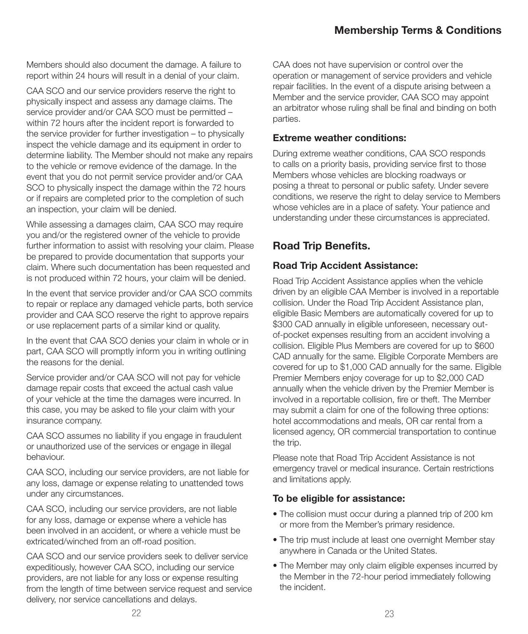Members should also document the damage. A failure to report within 24 hours will result in a denial of your claim.

CAA SCO and our service providers reserve the right to physically inspect and assess any damage claims. The service provider and/or CAA SCO must be permitted – within 72 hours after the incident report is forwarded to the service provider for further investigation – to physically inspect the vehicle damage and its equipment in order to determine liability. The Member should not make any repairs to the vehicle or remove evidence of the damage. In the event that you do not permit service provider and/or CAA SCO to physically inspect the damage within the 72 hours or if repairs are completed prior to the completion of such an inspection, your claim will be denied.

While assessing a damages claim, CAA SCO may require you and/or the registered owner of the vehicle to provide further information to assist with resolving your claim. Please be prepared to provide documentation that supports your claim. Where such documentation has been requested and is not produced within 72 hours, your claim will be denied.

In the event that service provider and/or CAA SCO commits to repair or replace any damaged vehicle parts, both service provider and CAA SCO reserve the right to approve repairs or use replacement parts of a similar kind or quality.

In the event that CAA SCO denies your claim in whole or in part, CAA SCO will promptly inform you in writing outlining the reasons for the denial.

Service provider and/or CAA SCO will not pay for vehicle damage repair costs that exceed the actual cash value of your vehicle at the time the damages were incurred. In this case, you may be asked to file your claim with your insurance company.

CAA SCO assumes no liability if you engage in fraudulent or unauthorized use of the services or engage in illegal behaviour.

CAA SCO, including our service providers, are not liable for any loss, damage or expense relating to unattended tows under any circumstances.

CAA SCO, including our service providers, are not liable for any loss, damage or expense where a vehicle has been involved in an accident, or where a vehicle must be extricated/winched from an off-road position.

CAA SCO and our service providers seek to deliver service expeditiously, however CAA SCO, including our service providers, are not liable for any loss or expense resulting from the length of time between service request and service delivery, nor service cancellations and delays.

CAA does not have supervision or control over the operation or management of service providers and vehicle repair facilities. In the event of a dispute arising between a Member and the service provider, CAA SCO may appoint an arbitrator whose ruling shall be final and binding on both parties.

#### Extreme weather conditions:

During extreme weather conditions, CAA SCO responds to calls on a priority basis, providing service first to those Members whose vehicles are blocking roadways or posing a threat to personal or public safety. Under severe conditions, we reserve the right to delay service to Members whose vehicles are in a place of safety. Your patience and understanding under these circumstances is appreciated.

#### Road Trip Benefits.

#### Road Trip Accident Assistance:

Road Trip Accident Assistance applies when the vehicle driven by an eligible CAA Member is involved in a reportable collision. Under the Road Trip Accident Assistance plan, eligible Basic Members are automatically covered for up to \$300 CAD annually in eligible unforeseen, necessary outof-pocket expenses resulting from an accident involving a collision. Eligible Plus Members are covered for up to \$600 CAD annually for the same. Eligible Corporate Members are covered for up to \$1,000 CAD annually for the same. Eligible Premier Members enjoy coverage for up to \$2,000 CAD annually when the vehicle driven by the Premier Member is involved in a reportable collision, fire or theft. The Member may submit a claim for one of the following three options: hotel accommodations and meals, OR car rental from a licensed agency, OR commercial transportation to continue the trip.

Please note that Road Trip Accident Assistance is not emergency travel or medical insurance. Certain restrictions and limitations apply.

#### To be eligible for assistance:

- The collision must occur during a planned trip of 200 km or more from the Member's primary residence.
- The trip must include at least one overnight Member stay anywhere in Canada or the United States.
- The Member may only claim eligible expenses incurred by the Member in the 72-hour period immediately following the incident.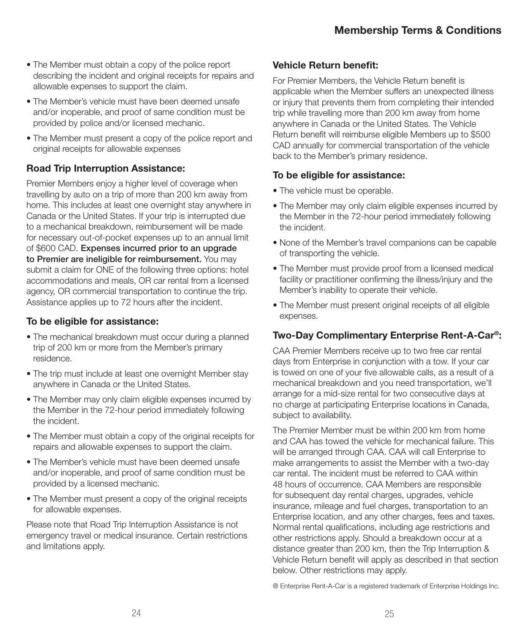- The Member must obtain a copy of the police report describing the incident and original receipts for repairs and allowable expenses to support the claim.
- The Member's vehicle must have been deemed unsafe and/or inoperable, and proof of same condition must be provided by police and/or licensed mechanic.
- The Member must present a copy of the police report and original receipts for allowable expenses

#### Road Trip Interruption Assistance:

Premier Members enjoy a higher level of coverage when travelling by auto on a trip of more than 200 km away from home. This includes at least one overnight stay anywhere in Canada or the United States. If your trip is interrupted due to a mechanical breakdown, reimbursement will be made for necessary out-of-pocket expenses up to an annual limit of \$600 CAD. Expenses incurred prior to an upgrade to Premier are ineligible for reimbursement. You may submit a claim for ONE of the following three options: hotel accommodations and meals, OR car rental from a licensed agency, OR commercial transportation to continue the trip. Assistance applies up to 72 hours after the incident.

#### To be eligible for assistance:

- The mechanical breakdown must occur during a planned trip of 200 km or more from the Member's primary residence.
- The trip must include at least one overnight Member stay anywhere in Canada or the United States.
- The Member may only claim eligible expenses incurred by the Member in the 72-hour period immediately following the incident.
- The Member must obtain a copy of the original receipts for repairs and allowable expenses to support the claim.
- The Member's vehicle must have been deemed unsafe and/or inoperable, and proof of same condition must be provided by a licensed mechanic.
- The Member must present a copy of the original receipts for allowable expenses.

Please note that Road Trip Interruption Assistance is not emergency travel or medical insurance. Certain restrictions and limitations apply.

#### Vehicle Return benefit:

For Premier Members, the Vehicle Return benefit is applicable when the Member suffers an unexpected illness or injury that prevents them from completing their intended trip while travelling more than 200 km away from home anywhere in Canada or the United States. The Vehicle Return benefit will reimburse eligible Members up to \$500 CAD annually for commercial transportation of the vehicle back to the Member's primary residence.

#### To be eligible for assistance:

- The vehicle must be operable.
- The Member may only claim eligible expenses incurred by the Member in the 72-hour period immediately following the incident.
- None of the Member's travel companions can be capable of transporting the vehicle.
- The Member must provide proof from a licensed medical facility or practitioner confirming the illness/injury and the Member's inability to operate their vehicle.
- The Member must present original receipts of all eligible expenses.

#### Two-Day Complimentary Enterprise Rent-A-Car®:

CAA Premier Members receive up to two free car rental days from Enterprise in conjunction with a tow. If your car is towed on one of your five allowable calls, as a result of a mechanical breakdown and you need transportation, we'll arrange for a mid-size rental for two consecutive days at no charge at participating Enterprise locations in Canada, subject to availability.

The Premier Member must be within 200 km from home and CAA has towed the vehicle for mechanical failure. This will be arranged through CAA. CAA will call Enterprise to make arrangements to assist the Member with a two-day car rental. The incident must be referred to CAA within 48 hours of occurrence. CAA Members are responsible for subsequent day rental charges, upgrades, vehicle insurance, mileage and fuel charges, transportation to an Enterprise location, and any other charges, fees and taxes. Normal rental qualifications, including age restrictions and other restrictions apply. Should a breakdown occur at a distance greater than 200 km, then the Trip Interruption & Vehicle Return benefit will apply as described in that section below. Other restrictions may apply.

® Enterprise Rent-A-Car is a registered trademark of Enterprise Holdings Inc.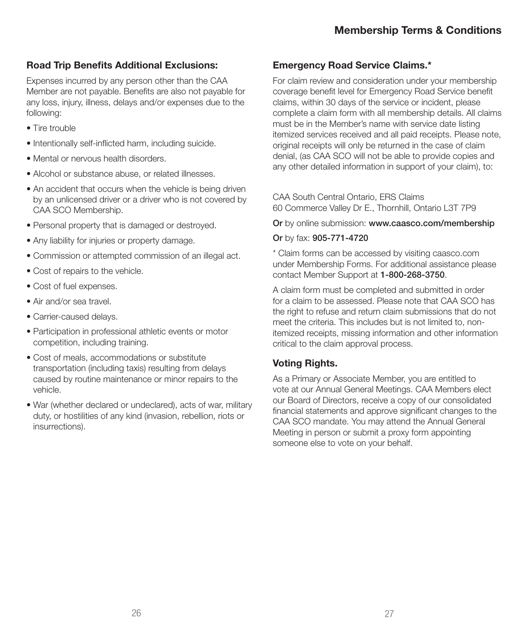#### Road Trip Benefits Additional Exclusions:

Expenses incurred by any person other than the CAA Member are not payable. Benefits are also not payable for any loss, injury, illness, delays and/or expenses due to the following:

- Tire trouble
- Intentionally self-inflicted harm, including suicide.
- Mental or nervous health disorders.
- Alcohol or substance abuse, or related illnesses.
- An accident that occurs when the vehicle is being driven by an unlicensed driver or a driver who is not covered by CAA SCO Membership.
- Personal property that is damaged or destroyed.
- Any liability for injuries or property damage.
- Commission or attempted commission of an illegal act.
- Cost of repairs to the vehicle.
- Cost of fuel expenses.
- Air and/or sea travel.
- Carrier-caused delays.
- Participation in professional athletic events or motor competition, including training.
- Cost of meals, accommodations or substitute transportation (including taxis) resulting from delays caused by routine maintenance or minor repairs to the vehicle.
- War (whether declared or undeclared), acts of war, military duty, or hostilities of any kind (invasion, rebellion, riots or insurrections).

#### Emergency Road Service Claims.\*

For claim review and consideration under your membership coverage benefit level for Emergency Road Service benefit claims, within 30 days of the service or incident, please complete a claim form with all membership details. All claims must be in the Member's name with service date listing itemized services received and all paid receipts. Please note, original receipts will only be returned in the case of claim denial, (as CAA SCO will not be able to provide copies and any other detailed information in support of your claim), to:

CAA South Central Ontario, ERS Claims 60 Commerce Valley Dr E., Thornhill, Ontario L3T 7P9

Or by online submission: www.caasco.com/membership

#### Or by fax: 905-771-4720

\* Claim forms can be accessed by visiting caasco.com under Membership Forms. For additional assistance please contact Member Support at 1-800-268-3750.

A claim form must be completed and submitted in order for a claim to be assessed. Please note that CAA SCO has the right to refuse and return claim submissions that do not meet the criteria. This includes but is not limited to, nonitemized receipts, missing information and other information critical to the claim approval process.

#### Voting Rights.

As a Primary or Associate Member, you are entitled to vote at our Annual General Meetings. CAA Members elect our Board of Directors, receive a copy of our consolidated financial statements and approve significant changes to the CAA SCO mandate. You may attend the Annual General Meeting in person or submit a proxy form appointing someone else to vote on your behalf.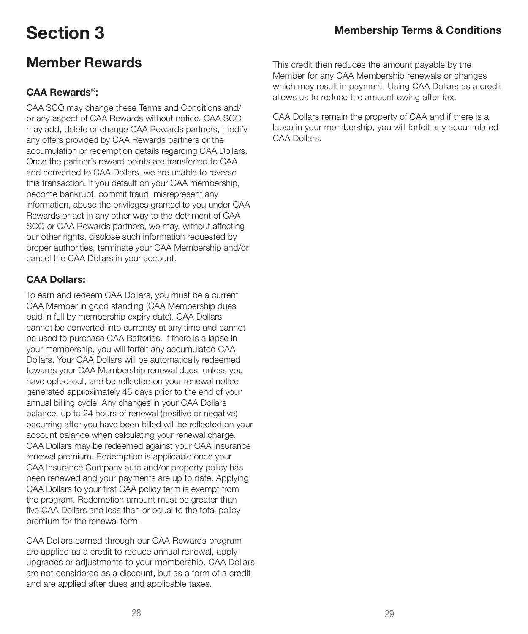### Member Rewards

#### CAA Rewards®:

CAA SCO may change these Terms and Conditions and/ or any aspect of CAA Rewards without notice. CAA SCO may add, delete or change CAA Rewards partners, modify any offers provided by CAA Rewards partners or the accumulation or redemption details regarding CAA Dollars. Once the partner's reward points are transferred to CAA and converted to CAA Dollars, we are unable to reverse this transaction. If you default on your CAA membership, become bankrupt, commit fraud, misrepresent any information, abuse the privileges granted to you under CAA Rewards or act in any other way to the detriment of CAA SCO or CAA Rewards partners, we may, without affecting our other rights, disclose such information requested by proper authorities, terminate your CAA Membership and/or cancel the CAA Dollars in your account.

#### CAA Dollars:

To earn and redeem CAA Dollars, you must be a current CAA Member in good standing (CAA Membership dues paid in full by membership expiry date). CAA Dollars cannot be converted into currency at any time and cannot be used to purchase CAA Batteries. If there is a lapse in your membership, you will forfeit any accumulated CAA Dollars. Your CAA Dollars will be automatically redeemed towards your CAA Membership renewal dues, unless you have opted-out, and be reflected on your renewal notice generated approximately 45 days prior to the end of your annual billing cycle. Any changes in your CAA Dollars balance, up to 24 hours of renewal (positive or negative) occurring after you have been billed will be reflected on your account balance when calculating your renewal charge. CAA Dollars may be redeemed against your CAA Insurance renewal premium. Redemption is applicable once your CAA Insurance Company auto and/or property policy has been renewed and your payments are up to date. Applying CAA Dollars to your first CAA policy term is exempt from the program. Redemption amount must be greater than five CAA Dollars and less than or equal to the total policy premium for the renewal term.

CAA Dollars earned through our CAA Rewards program are applied as a credit to reduce annual renewal, apply upgrades or adjustments to your membership. CAA Dollars are not considered as a discount, but as a form of a credit and are applied after dues and applicable taxes.

This credit then reduces the amount payable by the Member for any CAA Membership renewals or changes which may result in payment. Using CAA Dollars as a credit allows us to reduce the amount owing after tax.

CAA Dollars remain the property of CAA and if there is a lapse in your membership, you will forfeit any accumulated CAA Dollars.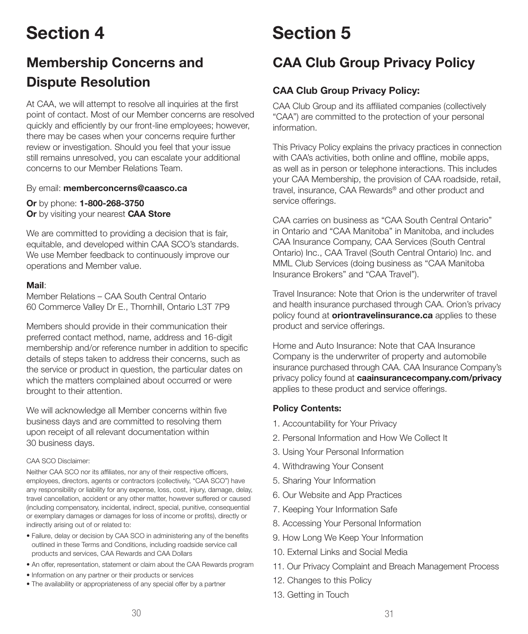# Section 4

## Membership Concerns and Dispute Resolution

At CAA, we will attempt to resolve all inquiries at the first point of contact. Most of our Member concerns are resolved quickly and efficiently by our front-line employees; however, there may be cases when your concerns require further review or investigation. Should you feel that your issue still remains unresolved, you can escalate your additional concerns to our Member Relations Team.

By email: memberconcerns@caasco.ca

Or by phone: 1-800-268-3750 Or by visiting your nearest CAA Store

We are committed to providing a decision that is fair, equitable, and developed within CAA SCO's standards. We use Member feedback to continuously improve our operations and Member value.

#### Mail:

Member Relations – CAA South Central Ontario 60 Commerce Valley Dr E., Thornhill, Ontario L3T 7P9

Members should provide in their communication their preferred contact method, name, address and 16-digit membership and/or reference number in addition to specific details of steps taken to address their concerns, such as the service or product in question, the particular dates on which the matters complained about occurred or were brought to their attention.

We will acknowledge all Member concerns within five business days and are committed to resolving them upon receipt of all relevant documentation within 30 business days.

#### CAA SCO Disclaimer:

Neither CAA SCO nor its affiliates, nor any of their respective officers, employees, directors, agents or contractors (collectively, "CAA SCO") have any responsibility or liability for any expense, loss, cost, injury, damage, delay, travel cancellation, accident or any other matter, however suffered or caused (including compensatory, incidental, indirect, special, punitive, consequential or exemplary damages or damages for loss of income or profits), directly or indirectly arising out of or related to:

- Failure, delay or decision by CAA SCO in administering any of the benefits outlined in these Terms and Conditions, including roadside service call products and services, CAA Rewards and CAA Dollars
- An offer, representation, statement or claim about the CAA Rewards program
- Information on any partner or their products or services
- The availability or appropriateness of any special offer by a partner

# Section 5

### CAA Club Group Privacy Policy

#### CAA Club Group Privacy Policy:

CAA Club Group and its affiliated companies (collectively "CAA") are committed to the protection of your personal information.

This Privacy Policy explains the privacy practices in connection with CAA's activities, both online and offline, mobile apps, as well as in person or telephone interactions. This includes your CAA Membership, the provision of CAA roadside, retail, travel, insurance, CAA Rewards® and other product and service offerings.

CAA carries on business as "CAA South Central Ontario" in Ontario and "CAA Manitoba" in Manitoba, and includes CAA Insurance Company, CAA Services (South Central Ontario) Inc., CAA Travel (South Central Ontario) Inc. and MML Club Services (doing business as "CAA Manitoba Insurance Brokers" and "CAA Travel").

Travel Insurance: Note that Orion is the underwriter of travel and health insurance purchased through CAA. Orion's privacy policy found at **oriontravelinsurance.ca** applies to these product and service offerings.

Home and Auto Insurance: Note that CAA Insurance Company is the underwriter of property and automobile insurance purchased through CAA. CAA Insurance Company's privacy policy found at caainsurancecompany.com/privacy applies to these product and service offerings.

#### Policy Contents:

- 1. Accountability for Your Privacy
- 2. Personal Information and How We Collect It
- 3. Using Your Personal Information
- 4. Withdrawing Your Consent
- 5. Sharing Your Information
- 6. Our Website and App Practices
- 7. Keeping Your Information Safe
- 8. Accessing Your Personal Information
- 9. How Long We Keep Your Information
- 10. External Links and Social Media
- 11. Our Privacy Complaint and Breach Management Process
- 12. Changes to this Policy
- 13. Getting in Touch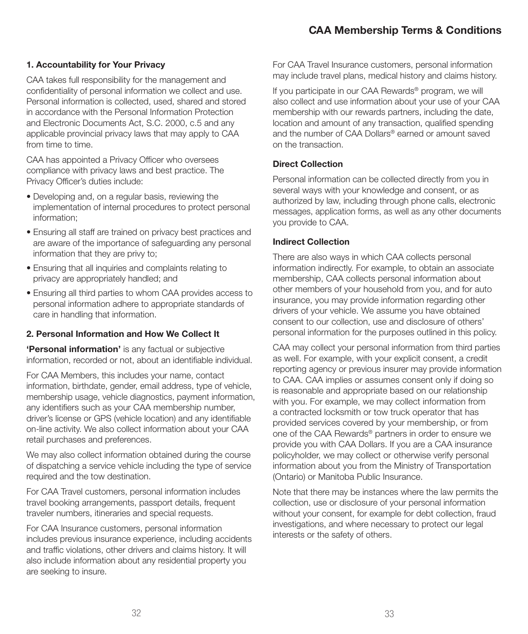#### CAA Membership Terms & Conditions

#### 1. Accountability for Your Privacy

CAA takes full responsibility for the management and confidentiality of personal information we collect and use. Personal information is collected, used, shared and stored in accordance with the Personal Information Protection and Electronic Documents Act, S.C. 2000, c.5 and any applicable provincial privacy laws that may apply to CAA from time to time.

CAA has appointed a Privacy Officer who oversees compliance with privacy laws and best practice. The Privacy Officer's duties include:

- Developing and, on a regular basis, reviewing the implementation of internal procedures to protect personal information;
- Ensuring all staff are trained on privacy best practices and are aware of the importance of safeguarding any personal information that they are privy to;
- Ensuring that all inquiries and complaints relating to privacy are appropriately handled; and
- Ensuring all third parties to whom CAA provides access to personal information adhere to appropriate standards of care in handling that information.

#### 2. Personal Information and How We Collect It

'Personal information' is any factual or subjective information, recorded or not, about an identifiable individual.

For CAA Members, this includes your name, contact information, birthdate, gender, email address, type of vehicle, membership usage, vehicle diagnostics, payment information, any identifiers such as your CAA membership number, driver's license or GPS (vehicle location) and any identifiable on-line activity. We also collect information about your CAA retail purchases and preferences.

We may also collect information obtained during the course of dispatching a service vehicle including the type of service required and the tow destination.

For CAA Travel customers, personal information includes travel booking arrangements, passport details, frequent traveler numbers, itineraries and special requests.

For CAA Insurance customers, personal information includes previous insurance experience, including accidents and traffic violations, other drivers and claims history. It will also include information about any residential property you are seeking to insure.

For CAA Travel Insurance customers, personal information may include travel plans, medical history and claims history.

If you participate in our CAA Rewards<sup>®</sup> program, we will also collect and use information about your use of your CAA membership with our rewards partners, including the date, location and amount of any transaction, qualified spending and the number of CAA Dollars® earned or amount saved on the transaction.

#### Direct Collection

Personal information can be collected directly from you in several ways with your knowledge and consent, or as authorized by law, including through phone calls, electronic messages, application forms, as well as any other documents you provide to CAA.

#### Indirect Collection

There are also ways in which CAA collects personal information indirectly. For example, to obtain an associate membership, CAA collects personal information about other members of your household from you, and for auto insurance, you may provide information regarding other drivers of your vehicle. We assume you have obtained consent to our collection, use and disclosure of others' personal information for the purposes outlined in this policy.

CAA may collect your personal information from third parties as well. For example, with your explicit consent, a credit reporting agency or previous insurer may provide information to CAA. CAA implies or assumes consent only if doing so is reasonable and appropriate based on our relationship with you. For example, we may collect information from a contracted locksmith or tow truck operator that has provided services covered by your membership, or from one of the CAA Rewards® partners in order to ensure we provide you with CAA Dollars. If you are a CAA insurance policyholder, we may collect or otherwise verify personal information about you from the Ministry of Transportation (Ontario) or Manitoba Public Insurance.

Note that there may be instances where the law permits the collection, use or disclosure of your personal information without your consent, for example for debt collection, fraud investigations, and where necessary to protect our legal interests or the safety of others.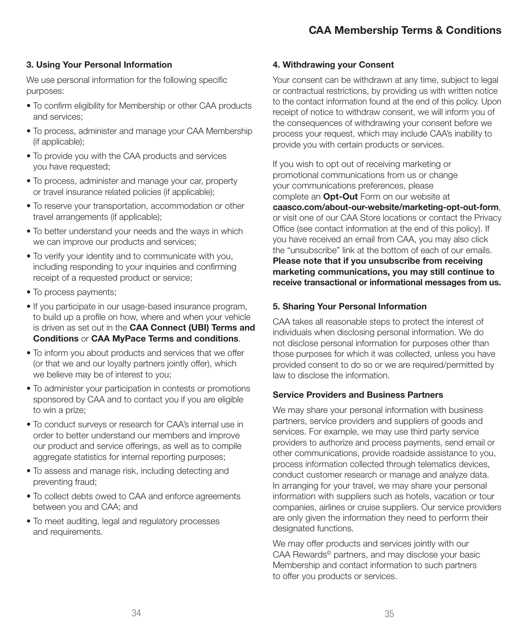#### 3. Using Your Personal Information

We use personal information for the following specific purposes:

- To confirm eligibility for Membership or other CAA products and services;
- To process, administer and manage your CAA Membership (if applicable);
- To provide you with the CAA products and services you have requested;
- To process, administer and manage your car, property or travel insurance related policies (if applicable);
- To reserve your transportation, accommodation or other travel arrangements (if applicable);
- To better understand your needs and the ways in which we can improve our products and services;
- To verify your identity and to communicate with you, including responding to your inquiries and confirming receipt of a requested product or service;
- To process payments;
- If you participate in our usage-based insurance program, to build up a profile on how, where and when your vehicle is driven as set out in the CAA Connect (UBI) Terms and Conditions or CAA MyPace Terms and conditions.
- To inform you about products and services that we offer (or that we and our loyalty partners jointly offer), which we believe may be of interest to you;
- To administer your participation in contests or promotions sponsored by CAA and to contact you if you are eligible to win a prize;
- To conduct surveys or research for CAA's internal use in order to better understand our members and improve our product and service offerings, as well as to compile aggregate statistics for internal reporting purposes;
- To assess and manage risk, including detecting and preventing fraud;
- To collect debts owed to CAA and enforce agreements between you and CAA; and
- To meet auditing, legal and regulatory processes and requirements.

#### 4. Withdrawing your Consent

Your consent can be withdrawn at any time, subject to legal or contractual restrictions, by providing us with written notice to the contact information found at the end of this policy. Upon receipt of notice to withdraw consent, we will inform you of the consequences of withdrawing your consent before we process your request, which may include CAA's inability to provide you with certain products or services.

If you wish to opt out of receiving marketing or promotional communications from us or change your communications preferences, please complete an **Opt-Out** Form on our website at caasco.com/about-our-website/marketing-opt-out-form, or visit one of our CAA Store locations or contact the Privacy Office (see contact information at the end of this policy). If you have received an email from CAA, you may also click the "unsubscribe" link at the bottom of each of our emails. Please note that if you unsubscribe from receiving marketing communications, you may still continue to receive transactional or informational messages from us.

#### 5. Sharing Your Personal Information

CAA takes all reasonable steps to protect the interest of individuals when disclosing personal information. We do not disclose personal information for purposes other than those purposes for which it was collected, unless you have provided consent to do so or we are required/permitted by law to disclose the information.

#### Service Providers and Business Partners

We may share your personal information with business partners, service providers and suppliers of goods and services. For example, we may use third party service providers to authorize and process payments, send email or other communications, provide roadside assistance to you, process information collected through telematics devices, conduct customer research or manage and analyze data. In arranging for your travel, we may share your personal information with suppliers such as hotels, vacation or tour companies, airlines or cruise suppliers. Our service providers are only given the information they need to perform their designated functions.

We may offer products and services jointly with our CAA Rewards© partners, and may disclose your basic Membership and contact information to such partners to offer you products or services.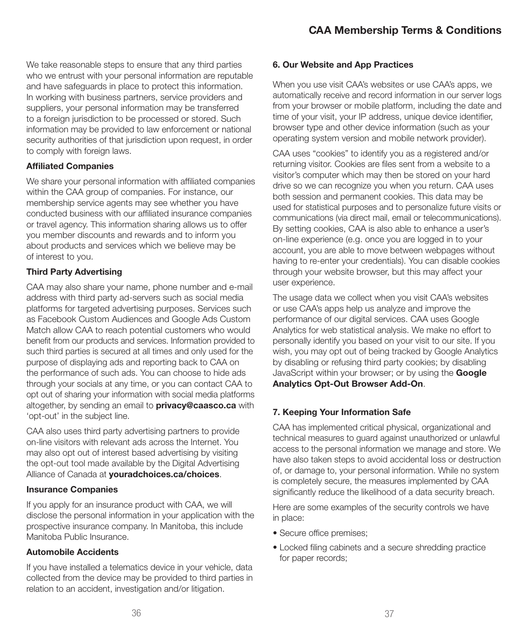We take reasonable steps to ensure that any third parties who we entrust with your personal information are reputable and have safeguards in place to protect this information. In working with business partners, service providers and suppliers, your personal information may be transferred to a foreign jurisdiction to be processed or stored. Such information may be provided to law enforcement or national security authorities of that jurisdiction upon request, in order to comply with foreign laws.

#### Affiliated Companies

We share your personal information with affiliated companies within the CAA group of companies. For instance, our membership service agents may see whether you have conducted business with our affiliated insurance companies or travel agency. This information sharing allows us to offer you member discounts and rewards and to inform you about products and services which we believe may be of interest to you.

#### Third Party Advertising

CAA may also share your name, phone number and e-mail address with third party ad-servers such as social media platforms for targeted advertising purposes. Services such as Facebook Custom Audiences and Google Ads Custom Match allow CAA to reach potential customers who would benefit from our products and services. Information provided to such third parties is secured at all times and only used for the purpose of displaying ads and reporting back to CAA on the performance of such ads. You can choose to hide ads through your socials at any time, or you can contact CAA to opt out of sharing your information with social media platforms altogether, by sending an email to **privacy@caasco.ca** with 'opt-out' in the subject line.

CAA also uses third party advertising partners to provide on-line visitors with relevant ads across the Internet. You may also opt out of interest based advertising by visiting the opt-out tool made available by the Digital Advertising Alliance of Canada at youradchoices.ca/choices.

#### Insurance Companies

If you apply for an insurance product with CAA, we will disclose the personal information in your application with the prospective insurance company. In Manitoba, this include Manitoba Public Insurance.

#### Automobile Accidents

If you have installed a telematics device in your vehicle, data collected from the device may be provided to third parties in relation to an accident, investigation and/or litigation.

#### 6. Our Website and App Practices

When you use visit CAA's websites or use CAA's apps, we automatically receive and record information in our server logs from your browser or mobile platform, including the date and time of your visit, your IP address, unique device identifier, browser type and other device information (such as your operating system version and mobile network provider).

CAA uses "cookies" to identify you as a registered and/or returning visitor. Cookies are files sent from a website to a visitor's computer which may then be stored on your hard drive so we can recognize you when you return. CAA uses both session and permanent cookies. This data may be used for statistical purposes and to personalize future visits or communications (via direct mail, email or telecommunications). By setting cookies, CAA is also able to enhance a user's on-line experience (e.g. once you are logged in to your account, you are able to move between webpages without having to re-enter your credentials). You can disable cookies through your website browser, but this may affect your user experience.

The usage data we collect when you visit CAA's websites or use CAA's apps help us analyze and improve the performance of our digital services. CAA uses Google Analytics for web statistical analysis. We make no effort to personally identify you based on your visit to our site. If you wish, you may opt out of being tracked by Google Analytics by disabling or refusing third party cookies; by disabling JavaScript within your browser; or by using the Google Analytics Opt-Out Browser Add-On.

#### 7. Keeping Your Information Safe

CAA has implemented critical physical, organizational and technical measures to guard against unauthorized or unlawful access to the personal information we manage and store. We have also taken steps to avoid accidental loss or destruction of, or damage to, your personal information. While no system is completely secure, the measures implemented by CAA significantly reduce the likelihood of a data security breach.

Here are some examples of the security controls we have in place:

- Secure office premises;
- Locked filing cabinets and a secure shredding practice for paper records;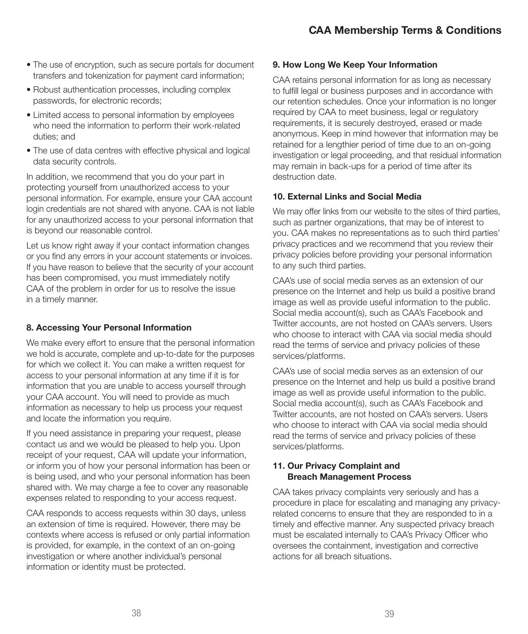- The use of encryption, such as secure portals for document transfers and tokenization for payment card information;
- Robust authentication processes, including complex passwords, for electronic records;
- Limited access to personal information by employees who need the information to perform their work-related duties; and
- The use of data centres with effective physical and logical data security controls.

In addition, we recommend that you do your part in protecting yourself from unauthorized access to your personal information. For example, ensure your CAA account login credentials are not shared with anyone. CAA is not liable for any unauthorized access to your personal information that is beyond our reasonable control.

Let us know right away if your contact information changes or you find any errors in your account statements or invoices. If you have reason to believe that the security of your account has been compromised, you must immediately notify CAA of the problem in order for us to resolve the issue in a timely manner.

#### 8. Accessing Your Personal Information

We make every effort to ensure that the personal information we hold is accurate, complete and up-to-date for the purposes for which we collect it. You can make a written request for access to your personal information at any time if it is for information that you are unable to access yourself through your CAA account. You will need to provide as much information as necessary to help us process your request and locate the information you require.

If you need assistance in preparing your request, please contact us and we would be pleased to help you. Upon receipt of your request, CAA will update your information, or inform you of how your personal information has been or is being used, and who your personal information has been shared with. We may charge a fee to cover any reasonable expenses related to responding to your access request.

CAA responds to access requests within 30 days, unless an extension of time is required. However, there may be contexts where access is refused or only partial information is provided, for example, in the context of an on-going investigation or where another individual's personal information or identity must be protected.

#### 9. How Long We Keep Your Information

CAA retains personal information for as long as necessary to fulfill legal or business purposes and in accordance with our retention schedules. Once your information is no longer required by CAA to meet business, legal or regulatory requirements, it is securely destroyed, erased or made anonymous. Keep in mind however that information may be retained for a lengthier period of time due to an on-going investigation or legal proceeding, and that residual information may remain in back-ups for a period of time after its destruction date.

#### 10. External Links and Social Media

We may offer links from our website to the sites of third parties, such as partner organizations, that may be of interest to you. CAA makes no representations as to such third parties' privacy practices and we recommend that you review their privacy policies before providing your personal information to any such third parties.

CAA's use of social media serves as an extension of our presence on the Internet and help us build a positive brand image as well as provide useful information to the public. Social media account(s), such as CAA's Facebook and Twitter accounts, are not hosted on CAA's servers. Users who choose to interact with CAA via social media should read the terms of service and privacy policies of these services/platforms.

CAA's use of social media serves as an extension of our presence on the Internet and help us build a positive brand image as well as provide useful information to the public. Social media account(s), such as CAA's Facebook and Twitter accounts, are not hosted on CAA's servers. Users who choose to interact with CAA via social media should read the terms of service and privacy policies of these services/platforms.

#### 11. Our Privacy Complaint and Breach Management Process

CAA takes privacy complaints very seriously and has a procedure in place for escalating and managing any privacyrelated concerns to ensure that they are responded to in a timely and effective manner. Any suspected privacy breach must be escalated internally to CAA's Privacy Officer who oversees the containment, investigation and corrective actions for all breach situations.